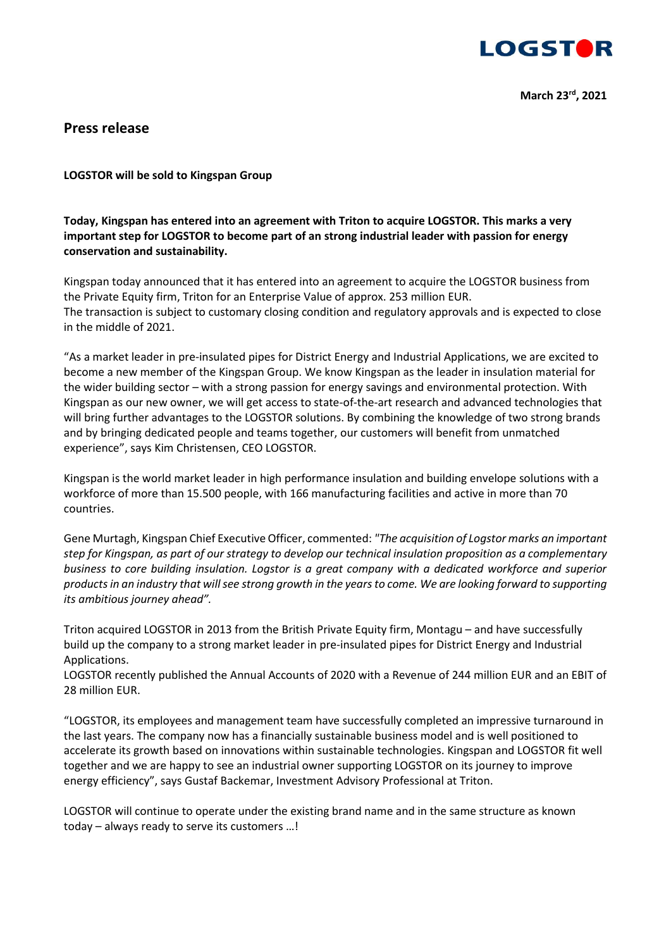

## **Press release**

## **LOGSTOR will be sold to Kingspan Group**

## **Today, Kingspan has entered into an agreement with Triton to acquire LOGSTOR. This marks a very important step for LOGSTOR to become part of an strong industrial leader with passion for energy conservation and sustainability.**

Kingspan today announced that it has entered into an agreement to acquire the LOGSTOR business from the Private Equity firm, Triton for an Enterprise Value of approx. 253 million EUR. The transaction is subject to customary closing condition and regulatory approvals and is expected to close in the middle of 2021.

"As a market leader in pre-insulated pipes for District Energy and Industrial Applications, we are excited to become a new member of the Kingspan Group. We know Kingspan as the leader in insulation material for the wider building sector – with a strong passion for energy savings and environmental protection. With Kingspan as our new owner, we will get access to state-of-the-art research and advanced technologies that will bring further advantages to the LOGSTOR solutions. By combining the knowledge of two strong brands and by bringing dedicated people and teams together, our customers will benefit from unmatched experience", says Kim Christensen, CEO LOGSTOR.

Kingspan is the world market leader in high performance insulation and building envelope solutions with a workforce of more than 15.500 people, with 166 manufacturing facilities and active in more than 70 countries.

Gene Murtagh, Kingspan Chief Executive Officer, commented: *"The acquisition of Logstor marks an important step for Kingspan, as part of our strategy to develop our technical insulation proposition as a complementary business to core building insulation. Logstor is a great company with a dedicated workforce and superior products in an industry that will see strong growth in the years to come. We are looking forward to supporting its ambitious journey ahead".*

Triton acquired LOGSTOR in 2013 from the British Private Equity firm, Montagu – and have successfully build up the company to a strong market leader in pre-insulated pipes for District Energy and Industrial Applications.

LOGSTOR recently published the Annual Accounts of 2020 with a Revenue of 244 million EUR and an EBIT of 28 million EUR.

"LOGSTOR, its employees and management team have successfully completed an impressive turnaround in the last years. The company now has a financially sustainable business model and is well positioned to accelerate its growth based on innovations within sustainable technologies. Kingspan and LOGSTOR fit well together and we are happy to see an industrial owner supporting LOGSTOR on its journey to improve energy efficiency", says Gustaf Backemar, Investment Advisory Professional at Triton.

LOGSTOR will continue to operate under the existing brand name and in the same structure as known today – always ready to serve its customers …!